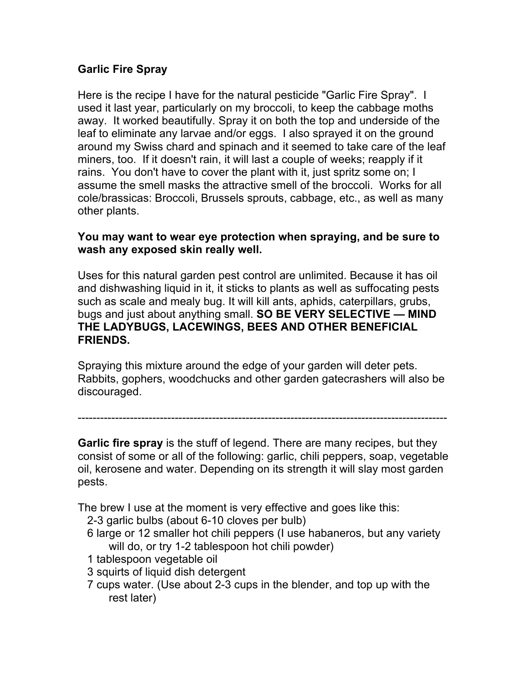## **Garlic Fire Spray**

Here is the recipe I have for the natural pesticide "Garlic Fire Spray". I used it last year, particularly on my broccoli, to keep the cabbage moths away. It worked beautifully. Spray it on both the top and underside of the leaf to eliminate any larvae and/or eggs. I also sprayed it on the ground around my Swiss chard and spinach and it seemed to take care of the leaf miners, too. If it doesn't rain, it will last a couple of weeks; reapply if it rains. You don't have to cover the plant with it, just spritz some on; I assume the smell masks the attractive smell of the broccoli. Works for all cole/brassicas: Broccoli, Brussels sprouts, cabbage, etc., as well as many other plants.

## **You may want to wear eye protection when spraying, and be sure to wash any exposed skin really well.**

Uses for this natural garden pest control are unlimited. Because it has oil and dishwashing liquid in it, it sticks to plants as well as suffocating pests such as scale and mealy bug. It will kill ants, aphids, caterpillars, grubs, bugs and just about anything small. **SO BE VERY SELECTIVE — MIND THE LADYBUGS, LACEWINGS, BEES AND OTHER BENEFICIAL FRIENDS.** 

Spraying this mixture around the edge of your garden will deter pets. Rabbits, gophers, woodchucks and other garden gatecrashers will also be discouraged.

---------------------------------------------------------------------------------------------------

**Garlic fire spray** is the stuff of legend. There are many recipes, but they consist of some or all of the following: garlic, chili peppers, soap, vegetable oil, kerosene and water. Depending on its strength it will slay most garden pests.

The brew I use at the moment is very effective and goes like this:

- 2-3 garlic bulbs (about 6-10 cloves per bulb)
- 6 large or 12 smaller hot chili peppers (I use habaneros, but any variety will do, or try 1-2 tablespoon hot chili powder)
- 1 tablespoon vegetable oil
- 3 squirts of liquid dish detergent
- 7 cups water. (Use about 2-3 cups in the blender, and top up with the rest later)